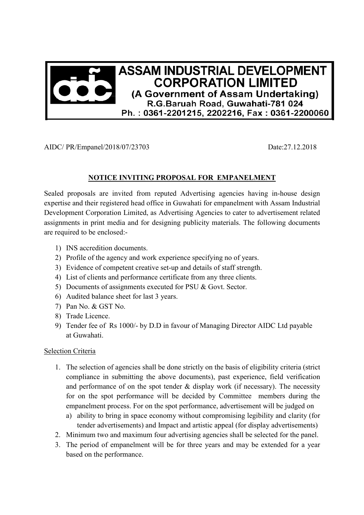

AIDC/ PR/Empanel/2018/07/23703 Date:27.12.2018

## **NOTICE INVITING PROPOSAL FOR EMPANELMENT**

Sealed proposals are invited from reputed Advertising agencies having in-house design expertise and their registered head office in Guwahati for empanelment with Assam Industrial Development Corporation Limited, as Advertising Agencies to cater to advertisement related assignments in print media and for designing publicity materials. The following documents are required to be enclosed:-

- 1) INS accredition documents.
- 2) Profile of the agency and work experience specifying no of years.
- 3) Evidence of competent creative set-up and details of staff strength.
- 4) List of clients and performance certificate from any three clients.
- 5) Documents of assignments executed for PSU & Govt. Sector.
- 6) Audited balance sheet for last 3 years.
- 7) Pan No. & GST No.
- 8) Trade Licence.
- 9) Tender fee of Rs 1000/- by D.D in favour of Managing Director AIDC Ltd payable at Guwahati.

## Selection Criteria

- 1. The selection of agencies shall be done strictly on the basis of eligibility criteria (strict compliance in submitting the above documents), past experience, field verification and performance of on the spot tender  $&$  display work (if necessary). The necessity for on the spot performance will be decided by Committee members during the empanelment process. For on the spot performance, advertisement will be judged on
	- a) ability to bring in space economy without compromising legibility and clarity (for tender advertisements) and Impact and artistic appeal (for display advertisements)
- 2. Minimum two and maximum four advertising agencies shall be selected for the panel.
- 3. The period of empanelment will be for three years and may be extended for a year based on the performance.